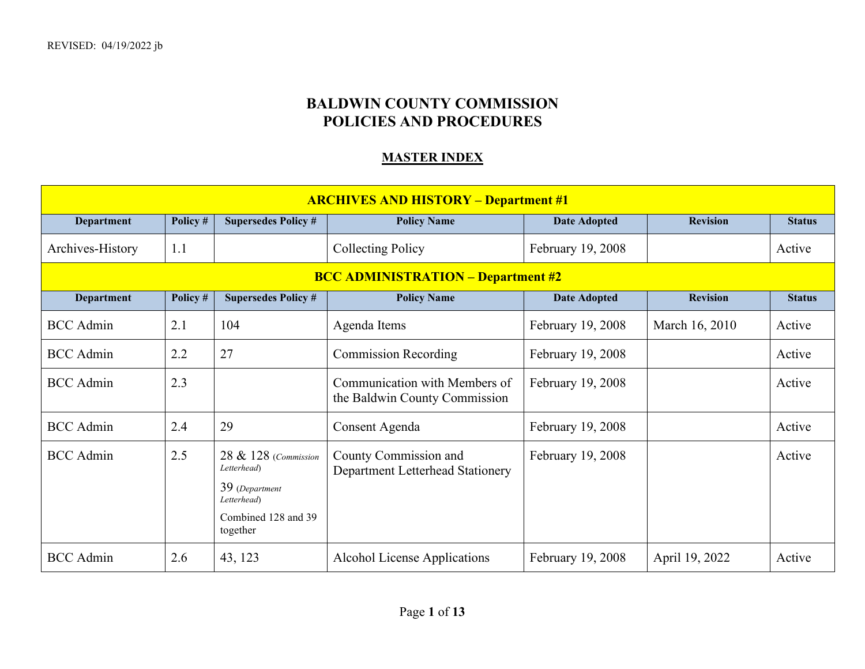## **BALDWIN COUNTY COMMISSION POLICIES AND PROCEDURES**

## **MASTER INDEX**

| <b>ARCHIVES AND HISTORY - Department #1</b> |          |                                                                                                         |                                                                |                     |                 |               |  |  |
|---------------------------------------------|----------|---------------------------------------------------------------------------------------------------------|----------------------------------------------------------------|---------------------|-----------------|---------------|--|--|
| <b>Department</b>                           | Policy # | <b>Supersedes Policy #</b>                                                                              | <b>Policy Name</b>                                             | <b>Date Adopted</b> | <b>Revision</b> | <b>Status</b> |  |  |
| Archives-History                            | 1.1      |                                                                                                         | <b>Collecting Policy</b>                                       | February 19, 2008   |                 | Active        |  |  |
| <b>BCC ADMINISTRATION - Department #2</b>   |          |                                                                                                         |                                                                |                     |                 |               |  |  |
| <b>Department</b>                           | Policy # | <b>Supersedes Policy #</b>                                                                              | <b>Policy Name</b>                                             | <b>Date Adopted</b> | <b>Revision</b> | <b>Status</b> |  |  |
| <b>BCC</b> Admin                            | 2.1      | 104                                                                                                     | Agenda Items                                                   | February 19, 2008   | March 16, 2010  | Active        |  |  |
| <b>BCC</b> Admin                            | 2.2      | 27                                                                                                      | <b>Commission Recording</b>                                    | February 19, 2008   |                 | Active        |  |  |
| <b>BCC</b> Admin                            | 2.3      |                                                                                                         | Communication with Members of<br>the Baldwin County Commission | February 19, 2008   |                 | Active        |  |  |
| <b>BCC</b> Admin                            | 2.4      | 29                                                                                                      | Consent Agenda                                                 | February 19, 2008   |                 | Active        |  |  |
| <b>BCC</b> Admin                            | 2.5      | 28 & 128 (Commission<br>Letterhead)<br>39 (Department<br>Letterhead)<br>Combined 128 and 39<br>together | County Commission and<br>Department Letterhead Stationery      | February 19, 2008   |                 | Active        |  |  |
| <b>BCC</b> Admin                            | 2.6      | 43, 123                                                                                                 | Alcohol License Applications                                   | February 19, 2008   | April 19, 2022  | Active        |  |  |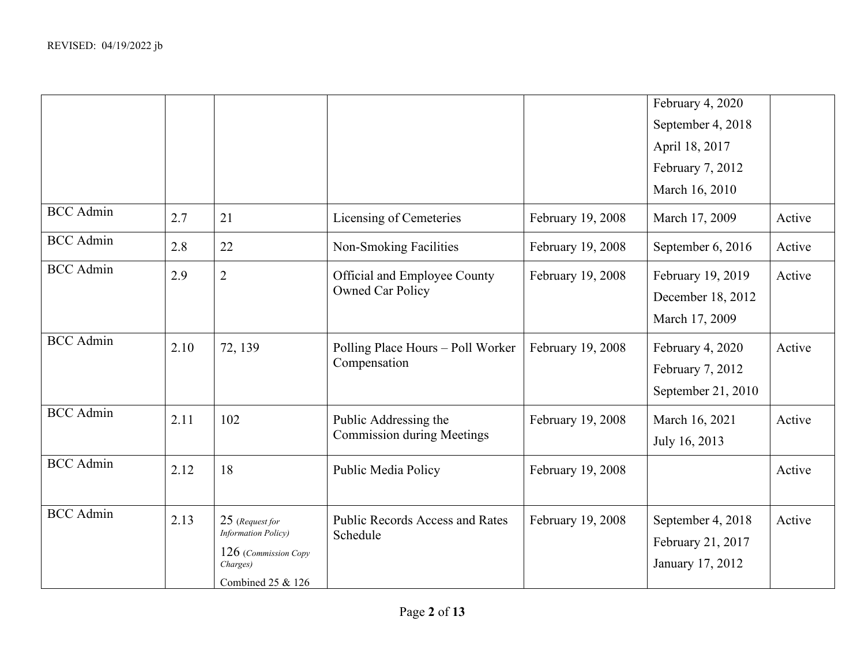|                  |      |                                  |                                                         |                   | February 4, 2020   |        |
|------------------|------|----------------------------------|---------------------------------------------------------|-------------------|--------------------|--------|
|                  |      |                                  |                                                         |                   | September 4, 2018  |        |
|                  |      |                                  |                                                         |                   | April 18, 2017     |        |
|                  |      |                                  |                                                         |                   | February 7, 2012   |        |
|                  |      |                                  |                                                         |                   | March 16, 2010     |        |
| <b>BCC</b> Admin | 2.7  | 21                               | Licensing of Cemeteries                                 | February 19, 2008 | March 17, 2009     | Active |
| <b>BCC</b> Admin | 2.8  | 22                               | Non-Smoking Facilities                                  | February 19, 2008 | September 6, 2016  | Active |
| <b>BCC</b> Admin | 2.9  | $\overline{2}$                   | Official and Employee County<br><b>Owned Car Policy</b> | February 19, 2008 | February 19, 2019  | Active |
|                  |      |                                  |                                                         |                   | December 18, 2012  |        |
|                  |      |                                  |                                                         |                   | March 17, 2009     |        |
| <b>BCC</b> Admin | 2.10 | 72, 139                          | Polling Place Hours – Poll Worker                       | February 19, 2008 | February 4, 2020   | Active |
|                  |      |                                  | Compensation                                            |                   | February 7, 2012   |        |
|                  |      |                                  |                                                         |                   | September 21, 2010 |        |
| <b>BCC</b> Admin | 2.11 | 102                              | Public Addressing the                                   | February 19, 2008 | March 16, 2021     | Active |
|                  |      |                                  | <b>Commission during Meetings</b>                       |                   | July 16, 2013      |        |
| <b>BCC</b> Admin | 2.12 | 18                               | Public Media Policy                                     | February 19, 2008 |                    | Active |
|                  |      |                                  |                                                         |                   |                    |        |
| <b>BCC</b> Admin | 2.13 | 25 (Request for                  | <b>Public Records Access and Rates</b>                  | February 19, 2008 | September 4, 2018  | Active |
|                  |      | <b>Information Policy</b> )      | Schedule                                                |                   | February 21, 2017  |        |
|                  |      | 126 (Commission Copy<br>Charges) |                                                         |                   | January 17, 2012   |        |
|                  |      | Combined 25 & 126                |                                                         |                   |                    |        |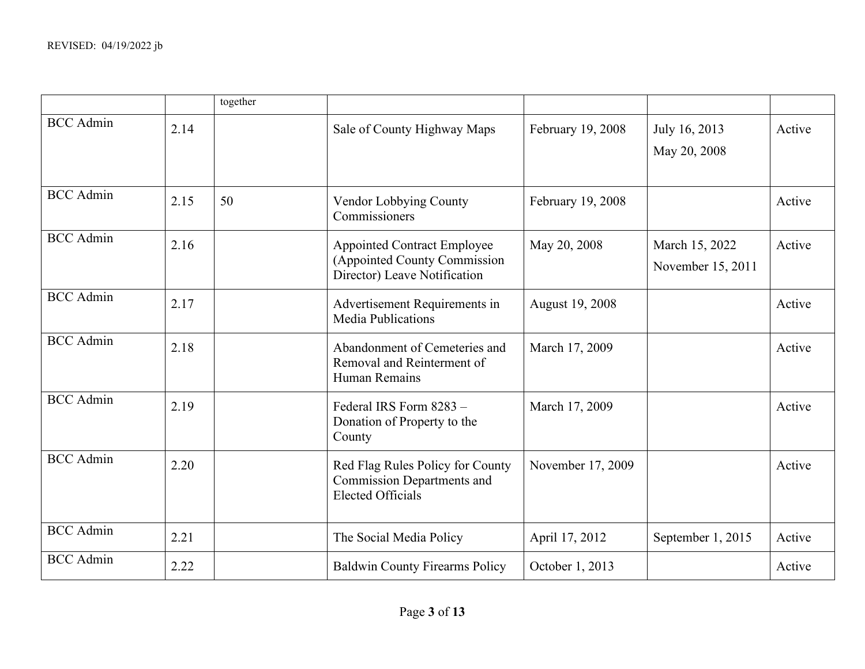|                  |      | together |                                                                                                    |                   |                                     |        |
|------------------|------|----------|----------------------------------------------------------------------------------------------------|-------------------|-------------------------------------|--------|
| <b>BCC</b> Admin | 2.14 |          | Sale of County Highway Maps                                                                        | February 19, 2008 | July 16, 2013<br>May 20, 2008       | Active |
| <b>BCC</b> Admin | 2.15 | 50       | Vendor Lobbying County<br>Commissioners                                                            | February 19, 2008 |                                     | Active |
| <b>BCC</b> Admin | 2.16 |          | <b>Appointed Contract Employee</b><br>(Appointed County Commission<br>Director) Leave Notification | May 20, 2008      | March 15, 2022<br>November 15, 2011 | Active |
| <b>BCC</b> Admin | 2.17 |          | Advertisement Requirements in<br><b>Media Publications</b>                                         | August 19, 2008   |                                     | Active |
| <b>BCC</b> Admin | 2.18 |          | Abandonment of Cemeteries and<br>Removal and Reinterment of<br>Human Remains                       | March 17, 2009    |                                     | Active |
| <b>BCC</b> Admin | 2.19 |          | Federal IRS Form 8283 -<br>Donation of Property to the<br>County                                   | March 17, 2009    |                                     | Active |
| <b>BCC</b> Admin | 2.20 |          | Red Flag Rules Policy for County<br><b>Commission Departments and</b><br><b>Elected Officials</b>  | November 17, 2009 |                                     | Active |
| <b>BCC</b> Admin | 2.21 |          | The Social Media Policy                                                                            | April 17, 2012    | September 1, 2015                   | Active |
| <b>BCC</b> Admin | 2.22 |          | <b>Baldwin County Firearms Policy</b>                                                              | October 1, 2013   |                                     | Active |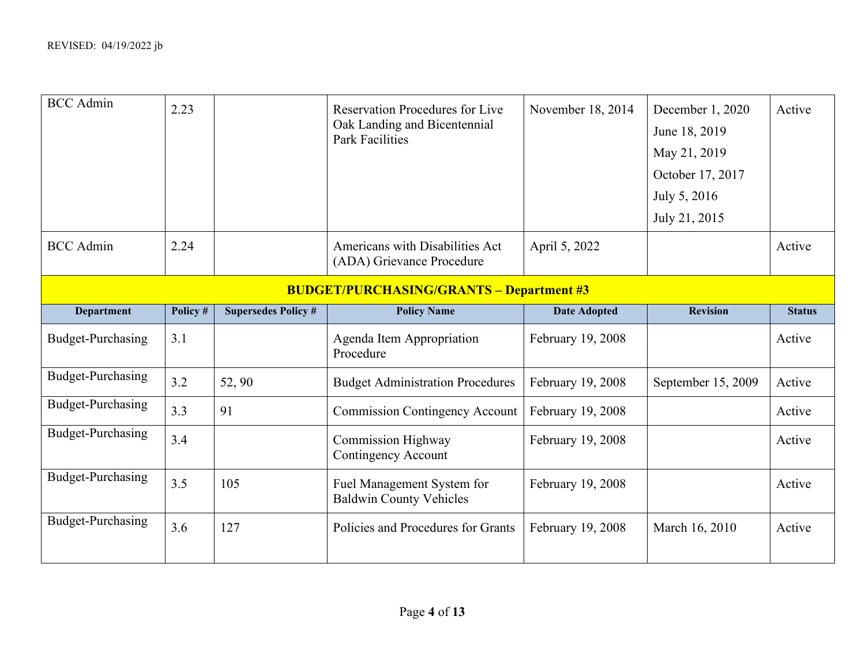| <b>BCC</b> Admin                                | 2.23     |                            | <b>Reservation Procedures for Live</b><br>Oak Landing and Bicentennial<br><b>Park Facilities</b> | November 18, 2014   | December 1, 2020<br>June 18, 2019<br>May 21, 2019<br>October 17, 2017<br>July 5, 2016<br>July 21, 2015 | Active        |  |  |
|-------------------------------------------------|----------|----------------------------|--------------------------------------------------------------------------------------------------|---------------------|--------------------------------------------------------------------------------------------------------|---------------|--|--|
| <b>BCC</b> Admin                                | 2.24     |                            | Americans with Disabilities Act<br>(ADA) Grievance Procedure                                     | April 5, 2022       |                                                                                                        | Active        |  |  |
| <b>BUDGET/PURCHASING/GRANTS - Department #3</b> |          |                            |                                                                                                  |                     |                                                                                                        |               |  |  |
| <b>Department</b>                               | Policy # | <b>Supersedes Policy #</b> | <b>Policy Name</b>                                                                               | <b>Date Adopted</b> | <b>Revision</b>                                                                                        | <b>Status</b> |  |  |
| Budget-Purchasing                               | 3.1      |                            | Agenda Item Appropriation<br>Procedure                                                           | February 19, 2008   |                                                                                                        | Active        |  |  |
| Budget-Purchasing                               | 3.2      | 52, 90                     | <b>Budget Administration Procedures</b>                                                          | February 19, 2008   | September 15, 2009                                                                                     | Active        |  |  |
| Budget-Purchasing                               | 3.3      | 91                         | <b>Commission Contingency Account</b>                                                            | February 19, 2008   |                                                                                                        | Active        |  |  |
| Budget-Purchasing                               | 3.4      |                            | <b>Commission Highway</b><br>Contingency Account                                                 | February 19, 2008   |                                                                                                        | Active        |  |  |
| Budget-Purchasing                               | 3.5      | 105                        | Fuel Management System for<br><b>Baldwin County Vehicles</b>                                     | February 19, 2008   |                                                                                                        | Active        |  |  |
| Budget-Purchasing                               | 3.6      | 127                        | Policies and Procedures for Grants                                                               | February 19, 2008   | March 16, 2010                                                                                         | Active        |  |  |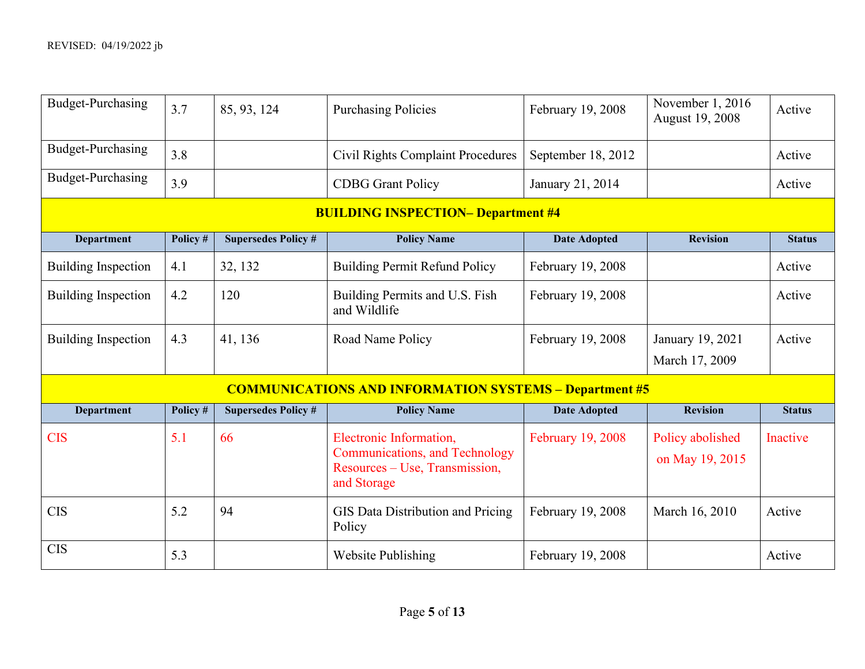| <b>Budget-Purchasing</b>                  | 3.7      | 85, 93, 124                | <b>Purchasing Policies</b>                                                                                        | February 19, 2008   | November 1, 2016<br>August 19, 2008 | Active        |  |  |
|-------------------------------------------|----------|----------------------------|-------------------------------------------------------------------------------------------------------------------|---------------------|-------------------------------------|---------------|--|--|
| Budget-Purchasing                         | 3.8      |                            | <b>Civil Rights Complaint Procedures</b>                                                                          | September 18, 2012  |                                     | Active        |  |  |
| Budget-Purchasing                         | 3.9      |                            | <b>CDBG</b> Grant Policy                                                                                          | January 21, 2014    |                                     | Active        |  |  |
| <b>BUILDING INSPECTION- Department #4</b> |          |                            |                                                                                                                   |                     |                                     |               |  |  |
| Department                                | Policy # | <b>Supersedes Policy #</b> | <b>Policy Name</b>                                                                                                | <b>Date Adopted</b> | <b>Revision</b>                     | <b>Status</b> |  |  |
| <b>Building Inspection</b>                | 4.1      | 32, 132                    | <b>Building Permit Refund Policy</b>                                                                              | February 19, 2008   |                                     | Active        |  |  |
| <b>Building Inspection</b>                | 4.2      | 120                        | Building Permits and U.S. Fish<br>and Wildlife                                                                    | February 19, 2008   |                                     | Active        |  |  |
| <b>Building Inspection</b>                | 4.3      | 41, 136                    | Road Name Policy                                                                                                  | February 19, 2008   | January 19, 2021                    | Active        |  |  |
|                                           |          |                            |                                                                                                                   |                     | March 17, 2009                      |               |  |  |
|                                           |          |                            | <b>COMMUNICATIONS AND INFORMATION SYSTEMS - Department #5</b>                                                     |                     |                                     |               |  |  |
| Department                                | Policy # | <b>Supersedes Policy #</b> | <b>Policy Name</b>                                                                                                | <b>Date Adopted</b> | <b>Revision</b>                     | <b>Status</b> |  |  |
| <b>CIS</b>                                | 5.1      | 66                         | Electronic Information,<br><b>Communications, and Technology</b><br>Resources – Use, Transmission,<br>and Storage | February 19, 2008   | Policy abolished<br>on May 19, 2015 | Inactive      |  |  |
| <b>CIS</b>                                | 5.2      | 94                         | GIS Data Distribution and Pricing<br>Policy                                                                       | February 19, 2008   | March 16, 2010                      | Active        |  |  |
| <b>CIS</b>                                | 5.3      |                            | <b>Website Publishing</b>                                                                                         | February 19, 2008   |                                     | Active        |  |  |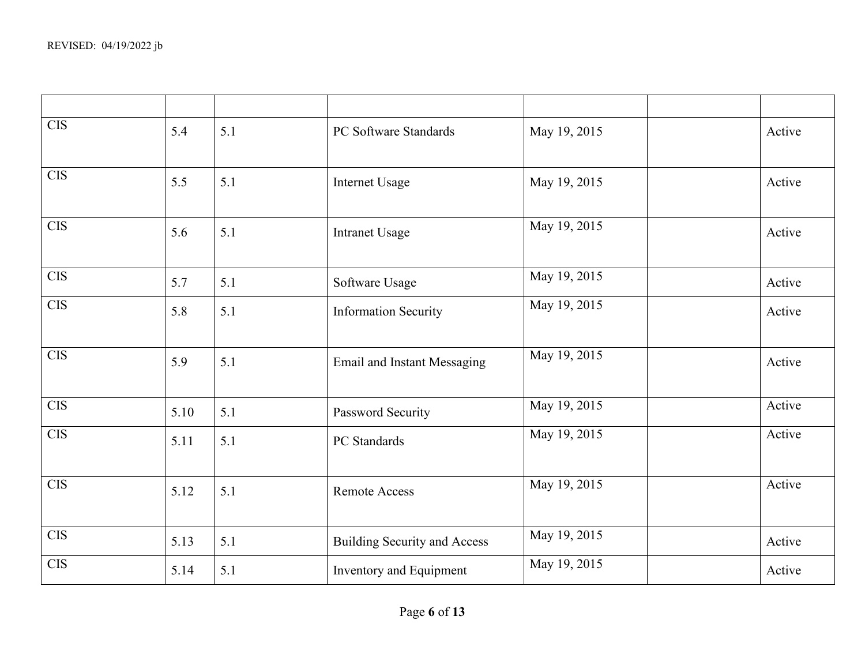| <b>CIS</b> | 5.4  | 5.1 | PC Software Standards               | May 19, 2015 | Active |
|------------|------|-----|-------------------------------------|--------------|--------|
| <b>CIS</b> | 5.5  | 5.1 | Internet Usage                      | May 19, 2015 | Active |
| <b>CIS</b> | 5.6  | 5.1 | <b>Intranet Usage</b>               | May 19, 2015 | Active |
| $\rm CIS$  | 5.7  | 5.1 | Software Usage                      | May 19, 2015 | Active |
| <b>CIS</b> | 5.8  | 5.1 | <b>Information Security</b>         | May 19, 2015 | Active |
| <b>CIS</b> | 5.9  | 5.1 | <b>Email and Instant Messaging</b>  | May 19, 2015 | Active |
| CIS        | 5.10 | 5.1 | Password Security                   | May 19, 2015 | Active |
| <b>CIS</b> | 5.11 | 5.1 | PC Standards                        | May 19, 2015 | Active |
| CIS        | 5.12 | 5.1 | <b>Remote Access</b>                | May 19, 2015 | Active |
| <b>CIS</b> | 5.13 | 5.1 | <b>Building Security and Access</b> | May 19, 2015 | Active |
| <b>CIS</b> | 5.14 | 5.1 | Inventory and Equipment             | May 19, 2015 | Active |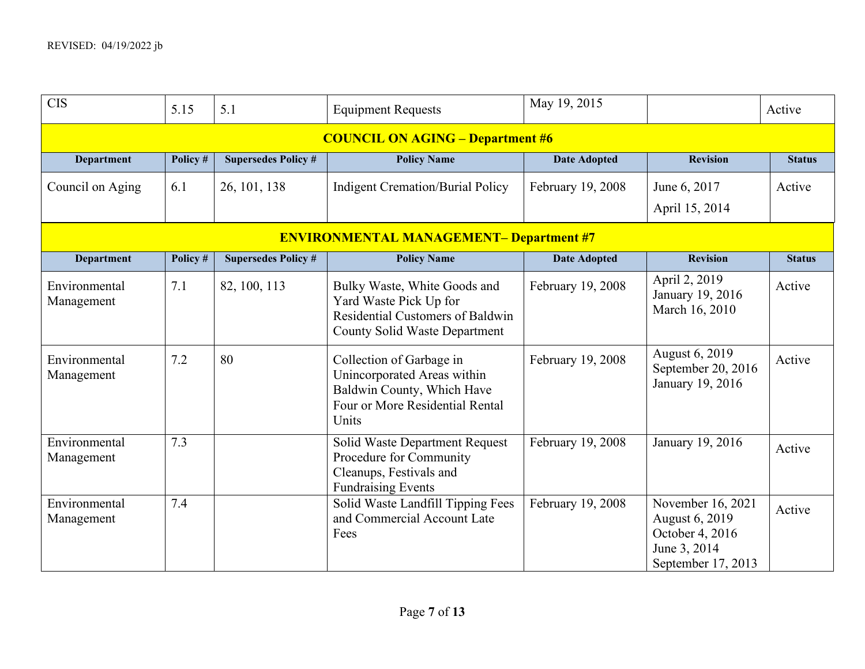| <b>CIS</b>                                     | 5.15     | 5.1                        | <b>Equipment Requests</b>                                                                                                          | May 19, 2015        |                                                                                                     | Active        |  |  |  |
|------------------------------------------------|----------|----------------------------|------------------------------------------------------------------------------------------------------------------------------------|---------------------|-----------------------------------------------------------------------------------------------------|---------------|--|--|--|
|                                                |          |                            | <b>COUNCIL ON AGING - Department #6</b>                                                                                            |                     |                                                                                                     |               |  |  |  |
| <b>Department</b>                              | Policy # | <b>Supersedes Policy #</b> | <b>Policy Name</b>                                                                                                                 | <b>Date Adopted</b> | <b>Revision</b>                                                                                     | <b>Status</b> |  |  |  |
| Council on Aging                               | 6.1      | 26, 101, 138               | <b>Indigent Cremation/Burial Policy</b>                                                                                            | February 19, 2008   | June 6, 2017<br>April 15, 2014                                                                      | Active        |  |  |  |
| <b>ENVIRONMENTAL MANAGEMENT- Department #7</b> |          |                            |                                                                                                                                    |                     |                                                                                                     |               |  |  |  |
| Department                                     | Policy # | <b>Supersedes Policy #</b> | <b>Policy Name</b>                                                                                                                 | <b>Date Adopted</b> | <b>Revision</b>                                                                                     | <b>Status</b> |  |  |  |
| Environmental<br>Management                    | 7.1      | 82, 100, 113               | Bulky Waste, White Goods and<br>Yard Waste Pick Up for<br>Residential Customers of Baldwin<br><b>County Solid Waste Department</b> | February 19, 2008   | April 2, 2019<br>January 19, 2016<br>March 16, 2010                                                 | Active        |  |  |  |
| Environmental<br>Management                    | 7.2      | 80                         | Collection of Garbage in<br>Unincorporated Areas within<br>Baldwin County, Which Have<br>Four or More Residential Rental<br>Units  | February 19, 2008   | August 6, 2019<br>September 20, 2016<br>January 19, 2016                                            | Active        |  |  |  |
| Environmental<br>Management                    | 7.3      |                            | Solid Waste Department Request<br>Procedure for Community<br>Cleanups, Festivals and<br><b>Fundraising Events</b>                  | February 19, 2008   | January 19, 2016                                                                                    | Active        |  |  |  |
| Environmental<br>Management                    | 7.4      |                            | Solid Waste Landfill Tipping Fees<br>and Commercial Account Late<br>Fees                                                           | February 19, 2008   | November 16, 2021<br><b>August 6, 2019</b><br>October 4, 2016<br>June 3, 2014<br>September 17, 2013 | Active        |  |  |  |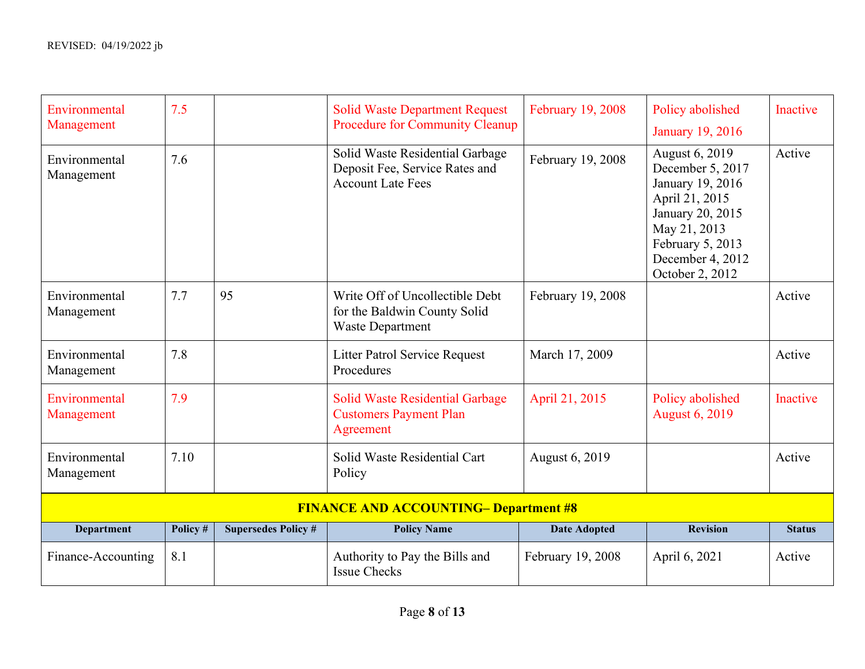| Environmental<br>Management                  | 7.5      |                            | <b>Solid Waste Department Request</b><br>Procedure for Community Cleanup                      | February 19, 2008   | Policy abolished<br><b>January 19, 2016</b>                                                                                                                             | <b>Inactive</b> |  |  |
|----------------------------------------------|----------|----------------------------|-----------------------------------------------------------------------------------------------|---------------------|-------------------------------------------------------------------------------------------------------------------------------------------------------------------------|-----------------|--|--|
| Environmental<br>Management                  | 7.6      |                            | Solid Waste Residential Garbage<br>Deposit Fee, Service Rates and<br><b>Account Late Fees</b> | February 19, 2008   | August 6, 2019<br>December 5, 2017<br>January 19, 2016<br>April 21, 2015<br>January 20, 2015<br>May 21, 2013<br>February 5, 2013<br>December 4, 2012<br>October 2, 2012 | Active          |  |  |
| Environmental<br>Management                  | 7.7      | 95                         | Write Off of Uncollectible Debt<br>for the Baldwin County Solid<br><b>Waste Department</b>    | February 19, 2008   |                                                                                                                                                                         | Active          |  |  |
| Environmental<br>Management                  | 7.8      |                            | <b>Litter Patrol Service Request</b><br>Procedures                                            | March 17, 2009      |                                                                                                                                                                         | Active          |  |  |
| Environmental<br>Management                  | 7.9      |                            | <b>Solid Waste Residential Garbage</b><br><b>Customers Payment Plan</b><br>Agreement          | April 21, 2015      | Policy abolished<br><b>August 6, 2019</b>                                                                                                                               | Inactive        |  |  |
| Environmental<br>Management                  | 7.10     |                            | Solid Waste Residential Cart<br>Policy                                                        | August 6, 2019      |                                                                                                                                                                         | Active          |  |  |
| <b>FINANCE AND ACCOUNTING- Department #8</b> |          |                            |                                                                                               |                     |                                                                                                                                                                         |                 |  |  |
| <b>Department</b>                            | Policy # | <b>Supersedes Policy #</b> | <b>Policy Name</b>                                                                            | <b>Date Adopted</b> | <b>Revision</b>                                                                                                                                                         | <b>Status</b>   |  |  |
| Finance-Accounting                           | 8.1      |                            | Authority to Pay the Bills and<br><b>Issue Checks</b>                                         | February 19, 2008   | April 6, 2021                                                                                                                                                           | Active          |  |  |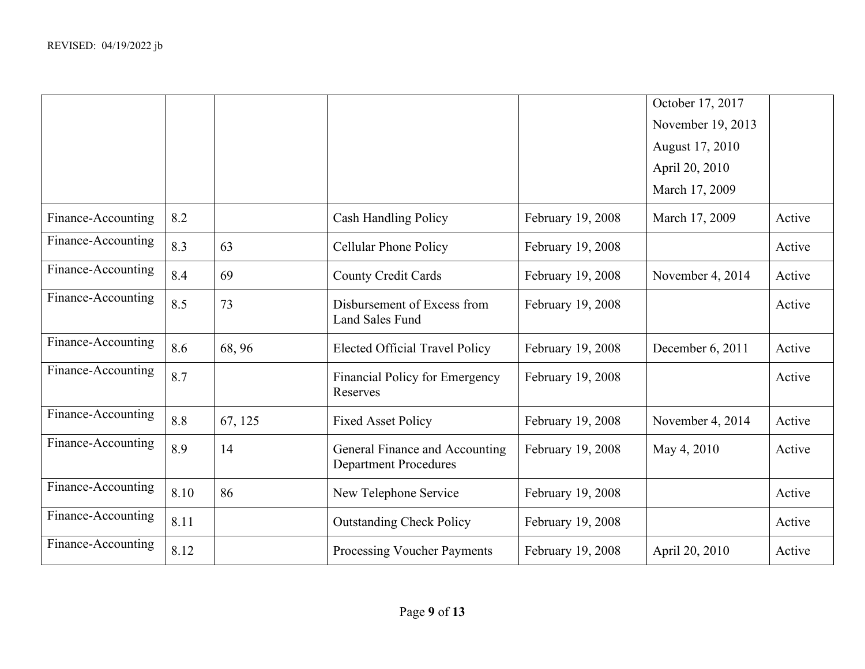|                    |      |         |                                                                |                   | October 17, 2017  |        |
|--------------------|------|---------|----------------------------------------------------------------|-------------------|-------------------|--------|
|                    |      |         |                                                                |                   | November 19, 2013 |        |
|                    |      |         |                                                                |                   | August 17, 2010   |        |
|                    |      |         |                                                                |                   | April 20, 2010    |        |
|                    |      |         |                                                                |                   | March 17, 2009    |        |
| Finance-Accounting | 8.2  |         | <b>Cash Handling Policy</b>                                    | February 19, 2008 | March 17, 2009    | Active |
| Finance-Accounting | 8.3  | 63      | <b>Cellular Phone Policy</b>                                   | February 19, 2008 |                   | Active |
| Finance-Accounting | 8.4  | 69      | <b>County Credit Cards</b>                                     | February 19, 2008 | November 4, 2014  | Active |
| Finance-Accounting | 8.5  | 73      | Disbursement of Excess from<br><b>Land Sales Fund</b>          | February 19, 2008 |                   | Active |
| Finance-Accounting | 8.6  | 68, 96  | <b>Elected Official Travel Policy</b>                          | February 19, 2008 | December 6, 2011  | Active |
| Finance-Accounting | 8.7  |         | <b>Financial Policy for Emergency</b><br>Reserves              | February 19, 2008 |                   | Active |
| Finance-Accounting | 8.8  | 67, 125 | <b>Fixed Asset Policy</b>                                      | February 19, 2008 | November 4, 2014  | Active |
| Finance-Accounting | 8.9  | 14      | General Finance and Accounting<br><b>Department Procedures</b> | February 19, 2008 | May 4, 2010       | Active |
| Finance-Accounting | 8.10 | 86      | New Telephone Service                                          | February 19, 2008 |                   | Active |
| Finance-Accounting | 8.11 |         | <b>Outstanding Check Policy</b>                                | February 19, 2008 |                   | Active |
| Finance-Accounting | 8.12 |         | Processing Voucher Payments                                    | February 19, 2008 | April 20, 2010    | Active |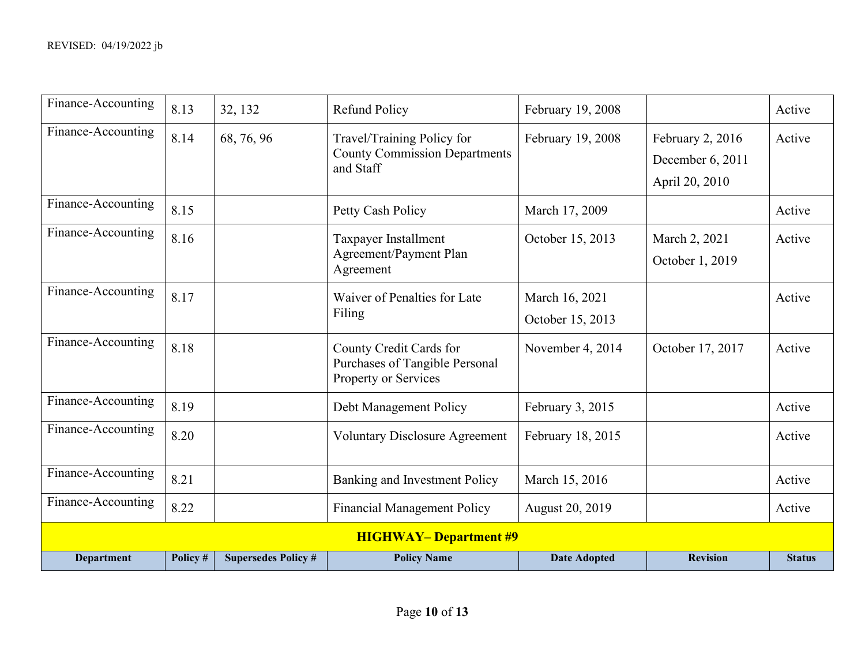| Finance-Accounting | 8.13                         | 32, 132                    | <b>Refund Policy</b>                                                              | February 19, 2008                  |                                                        | Active        |  |  |
|--------------------|------------------------------|----------------------------|-----------------------------------------------------------------------------------|------------------------------------|--------------------------------------------------------|---------------|--|--|
| Finance-Accounting | 8.14                         | 68, 76, 96                 | Travel/Training Policy for<br><b>County Commission Departments</b><br>and Staff   | February 19, 2008                  | February 2, 2016<br>December 6, 2011<br>April 20, 2010 | Active        |  |  |
| Finance-Accounting | 8.15                         |                            | Petty Cash Policy                                                                 | March 17, 2009                     |                                                        | Active        |  |  |
| Finance-Accounting | 8.16                         |                            | Taxpayer Installment<br>Agreement/Payment Plan<br>Agreement                       | October 15, 2013                   | March 2, 2021<br>October 1, 2019                       | Active        |  |  |
| Finance-Accounting | 8.17                         |                            | Waiver of Penalties for Late<br>Filing                                            | March 16, 2021<br>October 15, 2013 |                                                        | Active        |  |  |
| Finance-Accounting | 8.18                         |                            | County Credit Cards for<br>Purchases of Tangible Personal<br>Property or Services | November 4, 2014                   | October 17, 2017                                       | Active        |  |  |
| Finance-Accounting | 8.19                         |                            | Debt Management Policy                                                            | February 3, 2015                   |                                                        | Active        |  |  |
| Finance-Accounting | 8.20                         |                            | <b>Voluntary Disclosure Agreement</b>                                             | February 18, 2015                  |                                                        | Active        |  |  |
| Finance-Accounting | 8.21                         |                            | Banking and Investment Policy                                                     | March 15, 2016                     |                                                        | Active        |  |  |
| Finance-Accounting | 8.22                         |                            | <b>Financial Management Policy</b>                                                | August 20, 2019                    |                                                        | Active        |  |  |
|                    | <b>HIGHWAY-Department #9</b> |                            |                                                                                   |                                    |                                                        |               |  |  |
| <b>Department</b>  | Policy #                     | <b>Supersedes Policy #</b> | <b>Policy Name</b>                                                                | <b>Date Adopted</b>                | <b>Revision</b>                                        | <b>Status</b> |  |  |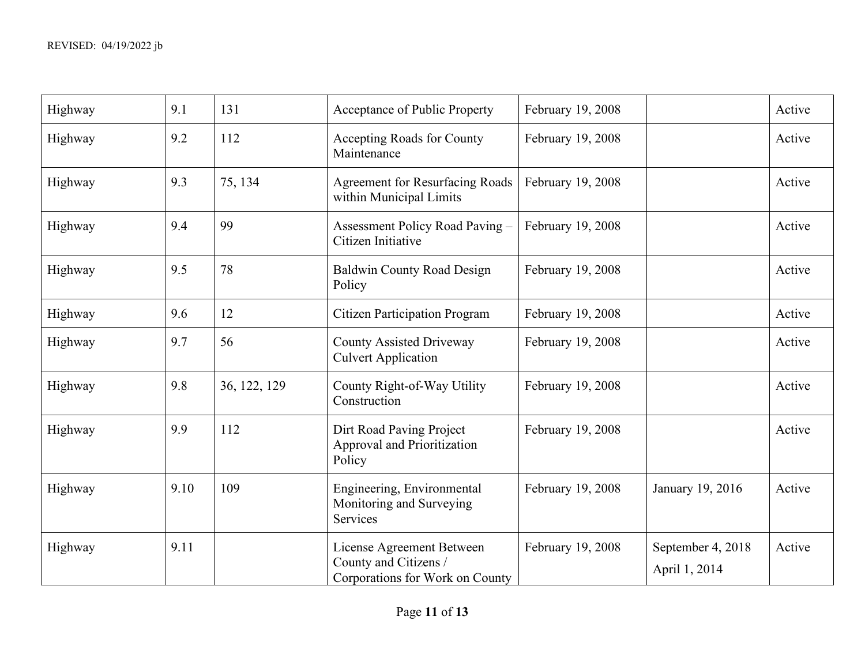| Highway | 9.1  | 131          | Acceptance of Public Property                                                         | February 19, 2008 |                                    | Active |
|---------|------|--------------|---------------------------------------------------------------------------------------|-------------------|------------------------------------|--------|
| Highway | 9.2  | 112          | Accepting Roads for County<br>Maintenance                                             | February 19, 2008 |                                    | Active |
| Highway | 9.3  | 75, 134      | Agreement for Resurfacing Roads<br>within Municipal Limits                            | February 19, 2008 |                                    | Active |
| Highway | 9.4  | 99           | Assessment Policy Road Paving -<br>Citizen Initiative                                 | February 19, 2008 |                                    | Active |
| Highway | 9.5  | 78           | Baldwin County Road Design<br>Policy                                                  | February 19, 2008 |                                    | Active |
| Highway | 9.6  | 12           | <b>Citizen Participation Program</b>                                                  | February 19, 2008 |                                    | Active |
| Highway | 9.7  | 56           | <b>County Assisted Driveway</b><br><b>Culvert Application</b>                         | February 19, 2008 |                                    | Active |
| Highway | 9.8  | 36, 122, 129 | County Right-of-Way Utility<br>Construction                                           | February 19, 2008 |                                    | Active |
| Highway | 9.9  | 112          | Dirt Road Paving Project<br>Approval and Prioritization<br>Policy                     | February 19, 2008 |                                    | Active |
| Highway | 9.10 | 109          | Engineering, Environmental<br>Monitoring and Surveying<br>Services                    | February 19, 2008 | January 19, 2016                   | Active |
| Highway | 9.11 |              | License Agreement Between<br>County and Citizens /<br>Corporations for Work on County | February 19, 2008 | September 4, 2018<br>April 1, 2014 | Active |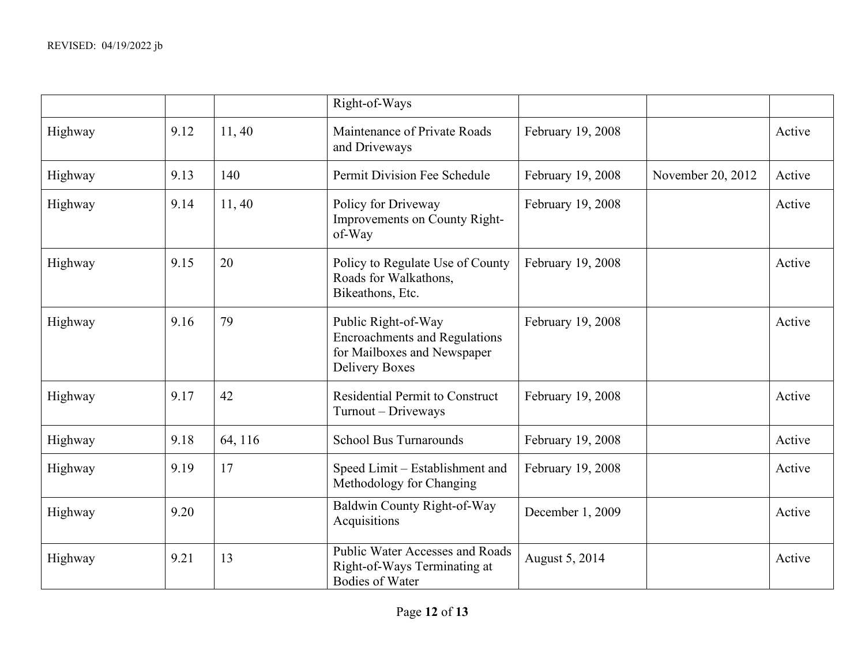|         |      |         | Right-of-Ways                                                                                                       |                   |                   |        |
|---------|------|---------|---------------------------------------------------------------------------------------------------------------------|-------------------|-------------------|--------|
| Highway | 9.12 | 11,40   | Maintenance of Private Roads<br>and Driveways                                                                       | February 19, 2008 |                   | Active |
| Highway | 9.13 | 140     | Permit Division Fee Schedule                                                                                        | February 19, 2008 | November 20, 2012 | Active |
| Highway | 9.14 | 11,40   | Policy for Driveway<br>Improvements on County Right-<br>of-Way                                                      | February 19, 2008 |                   | Active |
| Highway | 9.15 | 20      | Policy to Regulate Use of County<br>Roads for Walkathons,<br>Bikeathons, Etc.                                       | February 19, 2008 |                   | Active |
| Highway | 9.16 | 79      | Public Right-of-Way<br><b>Encroachments and Regulations</b><br>for Mailboxes and Newspaper<br><b>Delivery Boxes</b> | February 19, 2008 |                   | Active |
| Highway | 9.17 | 42      | <b>Residential Permit to Construct</b><br>Turnout - Driveways                                                       | February 19, 2008 |                   | Active |
| Highway | 9.18 | 64, 116 | <b>School Bus Turnarounds</b>                                                                                       | February 19, 2008 |                   | Active |
| Highway | 9.19 | 17      | Speed Limit - Establishment and<br>Methodology for Changing                                                         | February 19, 2008 |                   | Active |
| Highway | 9.20 |         | Baldwin County Right-of-Way<br>Acquisitions                                                                         | December 1, 2009  |                   | Active |
| Highway | 9.21 | 13      | Public Water Accesses and Roads<br>Right-of-Ways Terminating at<br><b>Bodies of Water</b>                           | August 5, 2014    |                   | Active |